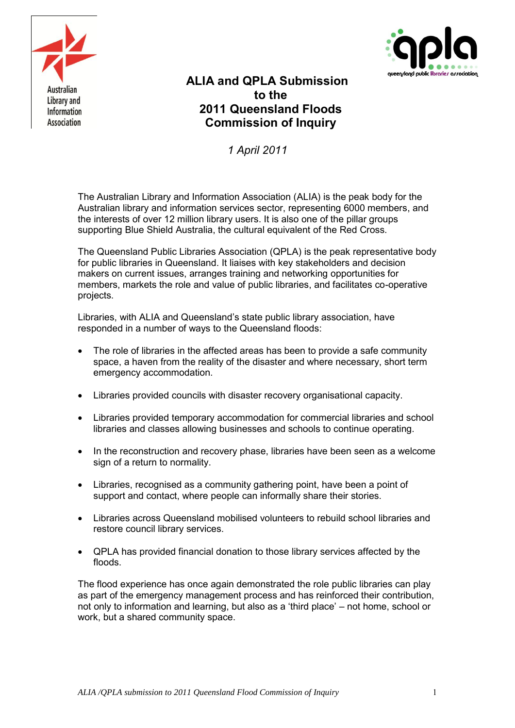



# **ALIA and QPLA Submission to the 2011 Queensland Floods Commission of Inquiry**

*1 April 2011*

The Australian Library and Information Association (ALIA) is the peak body for the Australian library and information services sector, representing 6000 members, and the interests of over 12 million library users. It is also one of the pillar groups supporting Blue Shield Australia, the cultural equivalent of the Red Cross.

The Queensland Public Libraries Association (QPLA) is the peak representative body for public libraries in Queensland. It liaises with key stakeholders and decision makers on current issues, arranges training and networking opportunities for members, markets the role and value of public libraries, and facilitates co-operative projects.

Libraries, with ALIA and Queensland's state public library association, have responded in a number of ways to the Queensland floods:

- The role of libraries in the affected areas has been to provide a safe community space, a haven from the reality of the disaster and where necessary, short term emergency accommodation.
- Libraries provided councils with disaster recovery organisational capacity.
- Libraries provided temporary accommodation for commercial libraries and school libraries and classes allowing businesses and schools to continue operating.
- In the reconstruction and recovery phase, libraries have been seen as a welcome sign of a return to normality.
- Libraries, recognised as a community gathering point, have been a point of support and contact, where people can informally share their stories.
- Libraries across Queensland mobilised volunteers to rebuild school libraries and restore council library services.
- QPLA has provided financial donation to those library services affected by the floods.

The flood experience has once again demonstrated the role public libraries can play as part of the emergency management process and has reinforced their contribution, not only to information and learning, but also as a 'third place' – not home, school or work, but a shared community space.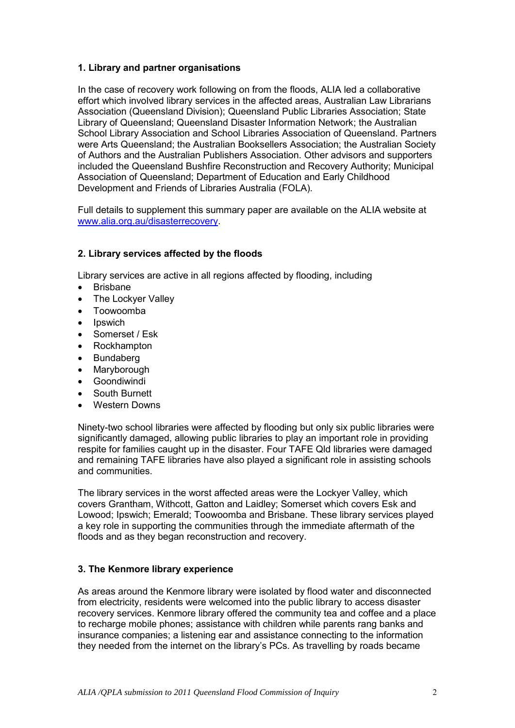## **1. Library and partner organisations**

In the case of recovery work following on from the floods, ALIA led a collaborative effort which involved library services in the affected areas, Australian Law Librarians Association (Queensland Division); Queensland Public Libraries Association; State Library of Queensland; Queensland Disaster Information Network; the Australian School Library Association and School Libraries Association of Queensland. Partners were Arts Queensland; the Australian Booksellers Association; the Australian Society of Authors and the Australian Publishers Association. Other advisors and supporters included the Queensland Bushfire Reconstruction and Recovery Authority; Municipal Association of Queensland; Department of Education and Early Childhood Development and Friends of Libraries Australia (FOLA).

Full details to supplement this summary paper are available on the ALIA website at [www.alia.org.au/disasterrecovery.](http://www.alia.org.au/disasterrecovery)

## **2. Library services affected by the floods**

Library services are active in all regions affected by flooding, including

- Brisbane
- The Lockyer Valley
- Toowoomba
- Ipswich
- Somerset / Esk
- Rockhampton
- Bundaberg
- Maryborough
- Goondiwindi
- South Burnett
- Western Downs

Ninety-two school libraries were affected by flooding but only six public libraries were significantly damaged, allowing public libraries to play an important role in providing respite for families caught up in the disaster. Four TAFE Qld libraries were damaged and remaining TAFE libraries have also played a significant role in assisting schools and communities.

The library services in the worst affected areas were the Lockyer Valley, which covers Grantham, Withcott, Gatton and Laidley; Somerset which covers Esk and Lowood; Ipswich; Emerald; Toowoomba and Brisbane. These library services played a key role in supporting the communities through the immediate aftermath of the floods and as they began reconstruction and recovery.

#### **3. The Kenmore library experience**

As areas around the Kenmore library were isolated by flood water and disconnected from electricity, residents were welcomed into the public library to access disaster recovery services. Kenmore library offered the community tea and coffee and a place to recharge mobile phones; assistance with children while parents rang banks and insurance companies; a listening ear and assistance connecting to the information they needed from the internet on the library's PCs. As travelling by roads became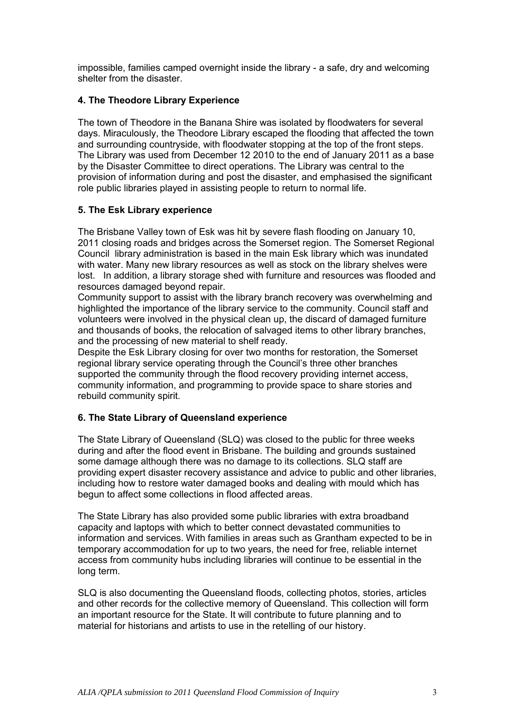impossible, families camped overnight inside the library - a safe, dry and welcoming shelter from the disaster.

## **4. The Theodore Library Experience**

The town of Theodore in the Banana Shire was isolated by floodwaters for several days. Miraculously, the Theodore Library escaped the flooding that affected the town and surrounding countryside, with floodwater stopping at the top of the front steps. The Library was used from December 12 2010 to the end of January 2011 as a base by the Disaster Committee to direct operations. The Library was central to the provision of information during and post the disaster, and emphasised the significant role public libraries played in assisting people to return to normal life.

## **5. The Esk Library experience**

The Brisbane Valley town of Esk was hit by severe flash flooding on January 10, 2011 closing roads and bridges across the Somerset region. The Somerset Regional Council library administration is based in the main Esk library which was inundated with water. Many new library resources as well as stock on the library shelves were lost. In addition, a library storage shed with furniture and resources was flooded and resources damaged beyond repair.

Community support to assist with the library branch recovery was overwhelming and highlighted the importance of the library service to the community. Council staff and volunteers were involved in the physical clean up, the discard of damaged furniture and thousands of books, the relocation of salvaged items to other library branches, and the processing of new material to shelf ready.

Despite the Esk Library closing for over two months for restoration, the Somerset regional library service operating through the Council's three other branches supported the community through the flood recovery providing internet access, community information, and programming to provide space to share stories and rebuild community spirit.

# **6. The State Library of Queensland experience**

The State Library of Queensland (SLQ) was closed to the public for three weeks during and after the flood event in Brisbane. The building and grounds sustained some damage although there was no damage to its collections. SLQ staff are providing expert disaster recovery assistance and advice to public and other libraries, including how to restore water damaged books and dealing with mould which has begun to affect some collections in flood affected areas.

The State Library has also provided some public libraries with extra broadband capacity and laptops with which to better connect devastated communities to information and services. With families in areas such as Grantham expected to be in temporary accommodation for up to two years, the need for free, reliable internet access from community hubs including libraries will continue to be essential in the long term.

SLQ is also documenting the Queensland floods, collecting photos, stories, articles and other records for the collective memory of Queensland. This collection will form an important resource for the State. It will contribute to future planning and to material for historians and artists to use in the retelling of our history.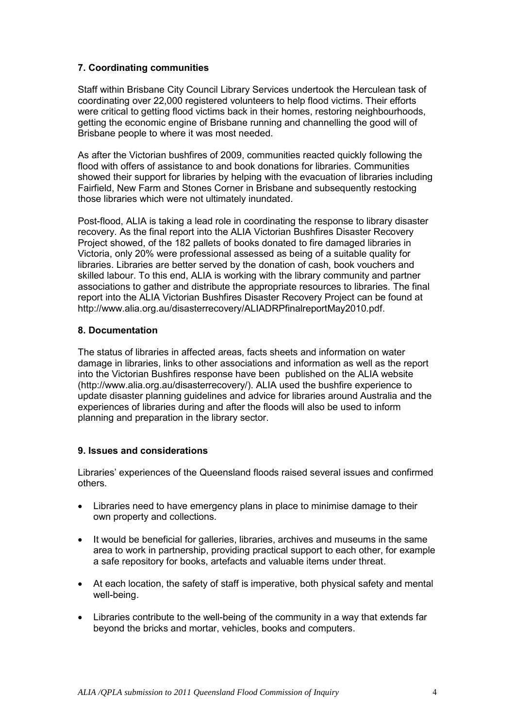## **7. Coordinating communities**

Staff within Brisbane City Council Library Services undertook the Herculean task of coordinating over 22,000 registered volunteers to help flood victims. Their efforts were critical to getting flood victims back in their homes, restoring neighbourhoods, getting the economic engine of Brisbane running and channelling the good will of Brisbane people to where it was most needed.

As after the Victorian bushfires of 2009, communities reacted quickly following the flood with offers of assistance to and book donations for libraries. Communities showed their support for libraries by helping with the evacuation of libraries including Fairfield, New Farm and Stones Corner in Brisbane and subsequently restocking those libraries which were not ultimately inundated.

Post-flood, ALIA is taking a lead role in coordinating the response to library disaster recovery. As the final report into the ALIA Victorian Bushfires Disaster Recovery Project showed, of the 182 pallets of books donated to fire damaged libraries in Victoria, only 20% were professional assessed as being of a suitable quality for libraries. Libraries are better served by the donation of cash, book vouchers and skilled labour. To this end, ALIA is working with the library community and partner associations to gather and distribute the appropriate resources to libraries. The final report into the ALIA Victorian Bushfires Disaster Recovery Project can be found at http://www.alia.org.au/disasterrecovery/ALIADRPfinalreportMay2010.pdf.

#### **8. Documentation**

The status of libraries in affected areas, facts sheets and information on water damage in libraries, links to other associations and information as well as the report into the Victorian Bushfires response have been published on the ALIA website (http://www.alia.org.au/disasterrecovery/). ALIA used the bushfire experience to update disaster planning guidelines and advice for libraries around Australia and the experiences of libraries during and after the floods will also be used to inform planning and preparation in the library sector.

# **9. Issues and considerations**

Libraries' experiences of the Queensland floods raised several issues and confirmed others.

- Libraries need to have emergency plans in place to minimise damage to their own property and collections.
- It would be beneficial for galleries, libraries, archives and museums in the same area to work in partnership, providing practical support to each other, for example a safe repository for books, artefacts and valuable items under threat.
- At each location, the safety of staff is imperative, both physical safety and mental well-being.
- Libraries contribute to the well-being of the community in a way that extends far beyond the bricks and mortar, vehicles, books and computers.